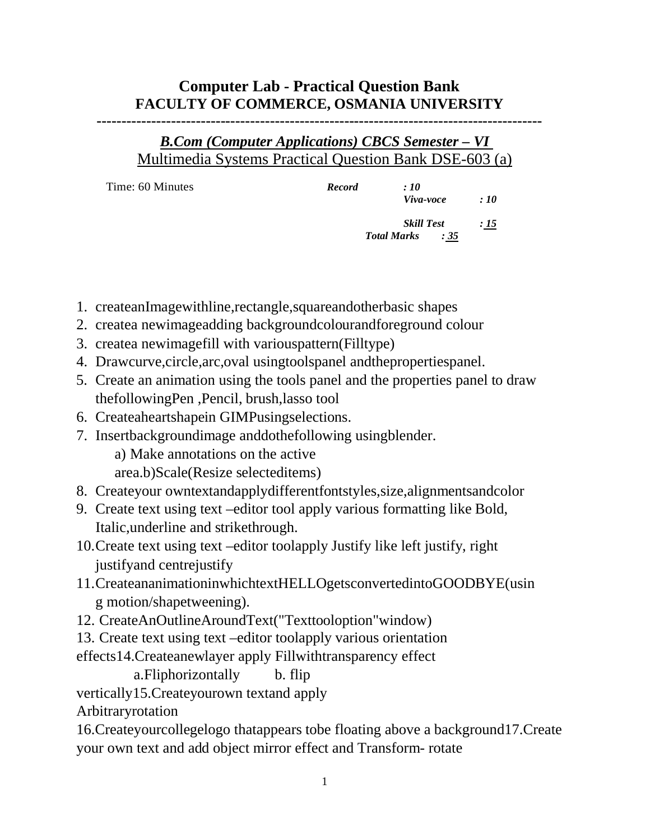## **Computer Lab - Practical Question Bank FACULTY OF COMMERCE, OSMANIA UNIVERSITY**

**------------------------------------------------------------------------------------------**

## *B.Com (Computer Applications) CBCS Semester – VI* Multimedia Systems Practical Question Bank DSE-603 (a)

| Time: 60 Minutes | <b>Record</b> | :10                       |                 |
|------------------|---------------|---------------------------|-----------------|
|                  |               | Viva-voce                 | $\therefore$ 10 |
|                  |               | <b>Skill Test</b>         | <u>: 15</u>     |
|                  |               | <b>Total Marks</b><br>:35 |                 |
|                  |               |                           |                 |

- 1. createanImagewithline,rectangle,squareandotherbasic shapes
- 2. createa newimageadding backgroundcolourandforeground colour
- 3. createa newimagefill with variouspattern(Filltype)
- 4. Drawcurve,circle,arc,oval usingtoolspanel andthepropertiespanel.
- 5. Create an animation using the tools panel and the properties panel to draw thefollowingPen ,Pencil, brush,lasso tool
- 6. Createaheartshapein GIMPusingselections.
- 7. Insertbackgroundimage anddothefollowing usingblender.

a) Make annotations on the active

area.b)Scale(Resize selecteditems)

- 8. Createyour owntextandapplydifferentfontstyles,size,alignmentsandcolor
- 9. Create text using text –editor tool apply various formatting like Bold, Italic,underline and strikethrough.
- 10.Create text using text –editor toolapply Justify like left justify, right justifyand centrejustify
- 11.CreateananimationinwhichtextHELLOgetsconvertedintoGOODBYE(usin g motion/shapetweening).
- 12. CreateAnOutlineAroundText("Texttooloption"window)
- 13. Create text using text –editor toolapply various orientation

effects14.Createanewlayer apply Fillwithtransparency effect

a.Fliphorizontally b. flip

vertically15.Createyourown textand apply

Arbitraryrotation

16.Createyourcollegelogo thatappears tobe floating above a background17.Create your own text and add object mirror effect and Transform- rotate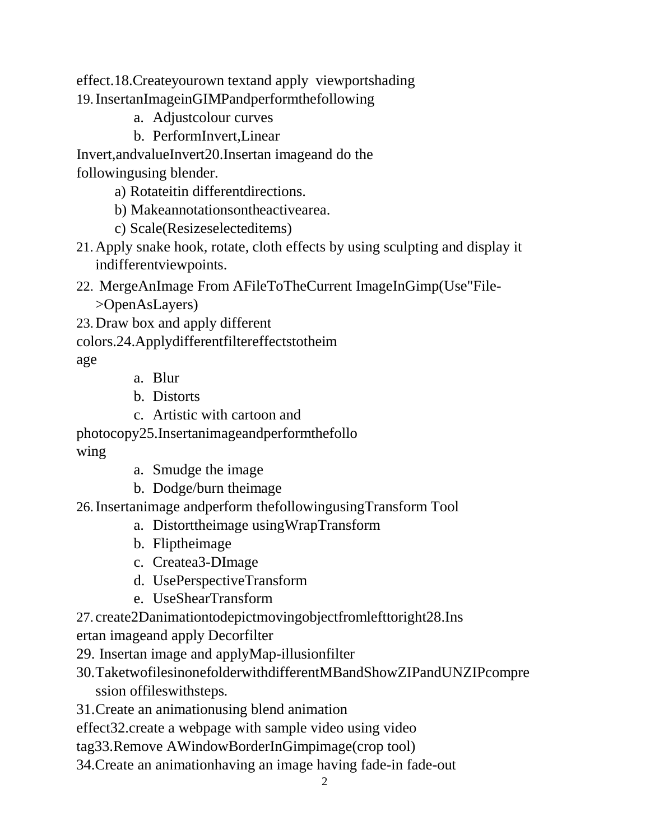effect.18.Createyourown textand apply viewportshading 19.InsertanImageinGIMPandperformthefollowing

- a. Adjustcolour curves
- b. PerformInvert,Linear

Invert,andvalueInvert20.Insertan imageand do the followingusing blender.

a) Rotateitin differentdirections.

b) Makeannotationsontheactivearea.

- c) Scale(Resizeselecteditems)
- 21.Apply snake hook, rotate, cloth effects by using sculpting and display it indifferentviewpoints.
- 22. MergeAnImage From AFileToTheCurrent ImageInGimp(Use"File- >OpenAsLayers)
- 23.Draw box and apply different

colors.24.Applydifferentfiltereffectstotheim

age

- a. Blur
- b. Distorts
- c. Artistic with cartoon and

photocopy25.Insertanimageandperformthefollo

wing

- a. Smudge the image
- b. Dodge/burn theimage

26.Insertanimage andperform thefollowingusingTransform Tool

- a. Distorttheimage usingWrapTransform
- b. Fliptheimage
- c. Createa3-DImage
- d. UsePerspectiveTransform
- e. UseShearTransform

27. create2Danimationtodepictmovingobjectfromlefttoright28.Ins

ertan imageand apply Decorfilter

29. Insertan image and applyMap-illusionfilter

30.TaketwofilesinonefolderwithdifferentMBandShowZIPandUNZIPcompre ssion offileswithsteps.

31.Create an animationusing blend animation

effect32.create a webpage with sample video using video

tag33.Remove AWindowBorderInGimpimage(crop tool)

34.Create an animationhaving an image having fade-in fade-out